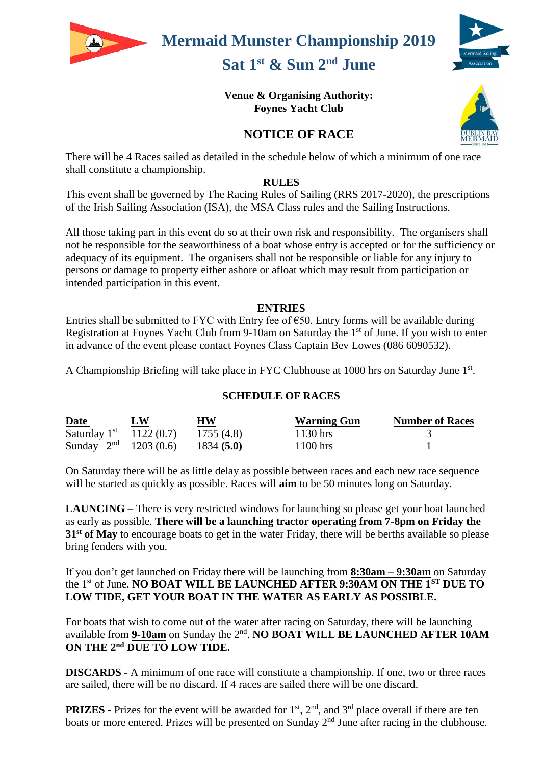

# **Sat 1 st & Sun 2nd June**

## **Venue & Organising Authority: Foynes Yacht Club**

# **NOTICE OF RACE**



There will be 4 Races sailed as detailed in the schedule below of which a minimum of one race shall constitute a championship.

#### **RULES**

This event shall be governed by The Racing Rules of Sailing (RRS 2017-2020), the prescriptions of the Irish Sailing Association (ISA), the MSA Class rules and the Sailing Instructions.

All those taking part in this event do so at their own risk and responsibility. The organisers shall not be responsible for the seaworthiness of a boat whose entry is accepted or for the sufficiency or adequacy of its equipment. The organisers shall not be responsible or liable for any injury to persons or damage to property either ashore or afloat which may result from participation or intended participation in this event.

#### **ENTRIES**

Entries shall be submitted to FYC with Entry fee of  $\epsilon$ 50. Entry forms will be available during Registration at Foynes Yacht Club from 9-10am on Saturday the  $1<sup>st</sup>$  of June. If you wish to enter in advance of the event please contact Foynes Class Captain Bev Lowes (086 6090532).

A Championship Briefing will take place in FYC Clubhouse at 1000 hrs on Saturday June 1st.

## **SCHEDULE OF RACES**

| <b>Date</b>                  | LW | <b>HW</b>  | <b>Warning Gun</b> | <b>Number of Races</b> |
|------------------------------|----|------------|--------------------|------------------------|
| Saturday $1^{st}$ 1122 (0.7) |    | 1755 (4.8) | $1130$ hrs         |                        |
| Sunday $2^{nd}$ 1203 (0.6)   |    | 1834(5.0)  | $1100$ hrs         |                        |

On Saturday there will be as little delay as possible between races and each new race sequence will be started as quickly as possible. Races will **aim** to be 50 minutes long on Saturday.

**LAUNCING –** There is very restricted windows for launching so please get your boat launched as early as possible. **There will be a launching tractor operating from 7-8pm on Friday the 31st of May** to encourage boats to get in the water Friday, there will be berths available so please bring fenders with you.

If you don't get launched on Friday there will be launching from **8:30am – 9:30am** on Saturday the 1st of June. **NO BOAT WILL BE LAUNCHED AFTER 9:30AM ON THE 1ST DUE TO LOW TIDE, GET YOUR BOAT IN THE WATER AS EARLY AS POSSIBLE.** 

For boats that wish to come out of the water after racing on Saturday, there will be launching available from **9-10am** on Sunday the 2<sup>nd</sup>. **NO BOAT WILL BE LAUNCHED AFTER 10AM ON THE 2nd DUE TO LOW TIDE.** 

**DISCARDS -** A minimum of one race will constitute a championship. If one, two or three races are sailed, there will be no discard. If 4 races are sailed there will be one discard.

**PRIZES** - Prizes for the event will be awarded for  $1<sup>st</sup>$ ,  $2<sup>nd</sup>$ , and  $3<sup>rd</sup>$  place overall if there are ten boats or more entered. Prizes will be presented on Sunday 2<sup>nd</sup> June after racing in the clubhouse.